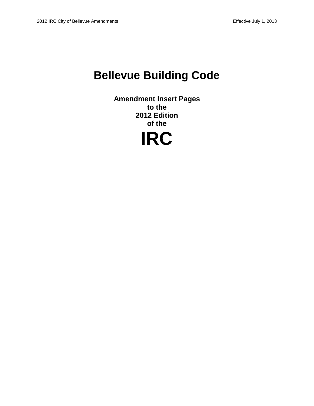# **Bellevue Building Code**

**Amendment Insert Pages to the 2012 Edition of the**

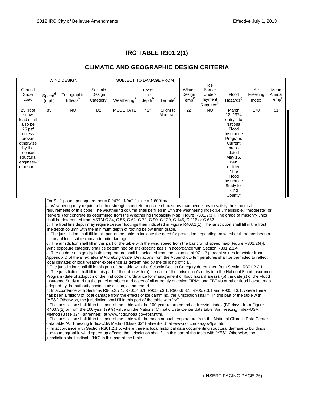## **IRC TABLE R301.2(1)**

## **CLIMATIC AND GEOGRAPHIC DESIGN CRITERIA**

| WIND DESIGN                                                                                                                                         |                             |                         | SUBJECT TO DAMAGE FROM         |                         |                                     |                       |                                       |                                                              |                                                                                                                                                                                                        |                                       |                        |
|-----------------------------------------------------------------------------------------------------------------------------------------------------|-----------------------------|-------------------------|--------------------------------|-------------------------|-------------------------------------|-----------------------|---------------------------------------|--------------------------------------------------------------|--------------------------------------------------------------------------------------------------------------------------------------------------------------------------------------------------------|---------------------------------------|------------------------|
| Ground<br>Snow<br>Load                                                                                                                              | Speed <sup>d</sup><br>(mph) | Topographic<br>Effects" | Seismic<br>Design<br>Category' | Weathering <sup>a</sup> | Frost<br>line<br>depth <sup>b</sup> | Termite <sup>c</sup>  | Winter<br>Design<br>Temp <sup>e</sup> | Ice<br>Barrier<br>Under-<br>layment<br>Required <sup>h</sup> | Flood<br>Hazards <sup>9</sup>                                                                                                                                                                          | Air<br>Freezing<br>Index <sup>'</sup> | Mean<br>Annual<br>Temp |
| 25 (roof<br>snow<br>load shall<br>also be<br>25 psf<br>unless<br>proven<br>otherwise<br>by the<br>licensed<br>structural<br>engineer-<br>of-record. | 85                          | <b>NO</b>               | D <sub>2</sub>                 | <b>MODERATE</b>         | 12"                                 | Slight to<br>Moderate | 22                                    | NO.                                                          | March<br>12, 1974<br>entry into<br>National<br>Flood<br>Insurance<br>Program.<br>Current<br>maps<br>dated<br>May 16,<br>1995<br>entitled<br>"The<br>Flood<br>Insurance<br>Study for<br>King<br>County" | 170                                   | 51                     |

For SI: 1 pound per square foot =  $0.0479$  kN/m<sup>2</sup>, 1 mile =  $1.609$ km/h.

a. Weathering may require a higher strength concrete or grade of masonry than necessary to satisfy the structural requirements of this code. The weathering column shall be filled in with the weathering index (i.e., "negligible," "moderate" or "severe") for concrete as determined from the Weathering Probability Map [Figure R301.2(3)]. The grade of masonry units shall be determined from ASTM C 34, C 55, C 62, C 73, C 90, C 129, C 145, C 216 or C 652.

b. The frost line depth may require deeper footings than indicated in Figure R403.1(1). The jurisdiction shall fill in the frost line depth column with the minimum depth of footing below finish grade.

c. The jurisdiction shall fill in this part of the table to indicate the need for protection depending on whether there has been a history of local subterranean termite damage.

d. The jurisdiction shall fill in this part of the table with the wind speed from the basic wind speed map [Figure R301.2(4)]. Wind exposure category shall be determined on site-specific basis in accordance with Section R301.2.1.4.

e. The outdoor design dry-bulb temperature shall be selected from the columns of 97 1/2-percent values for winter from Appendix D of the *International Plumbing Code.* Deviations from the Appendix D temperatures shall be permitted to reflect local climates or local weather experience as determined by the building official.

f. The jurisdiction shall fill in this part of the table with the Seismic Design Category determined from Section R301.2.2.1. g. The jurisdiction shall fill in this part of the table with (a) the date of the jurisdiction's entry into the National Flood Insurance Program (date of adoption of the first code or ordinance for management of flood hazard areas), (b) the date(s) of the Flood Insurance Study and (c) the panel numbers and dates of all currently effective FIRMs and FBFMs or other flood hazard map adopted by the authority having jurisdiction, as amended.

h. In accordance with Sections R905.2.7.1, R905.4.3.1, R905.5.3.1, R905.6.3.1, R905.7.3.1 and R905.8.3.1, where there has been a history of local damage from the effects of ice damming, the jurisdiction shall fill in this part of the table with "YES." Otherwise, the jurisdiction shall fill in this part of the table with "NO."

i. The jurisdiction shall fill in this part of the table with the 100-year return period air freezing index (BF-days) from Figure R403.3(2) or from the 100-year (99%) value on the National Climatic Date Center data table "Air Freezing Index-USA Method (Base 32° Fahrenheit)" at www.ncdc.noaa.gov/fpsf.html.

j. The jurisdiction shall fill in this part of the table with the mean annual temperature from the National Climatic Data Center data table "Air Freezing Index-USA Method (Base 32° Fahrenheit)" at www.ncdc.noaa.gov/fpsf.html.

k. In accordance with Section R301.2.1.5, where there is local historical data documenting structural damage to buildings due to topographic wind speed-up effects, the jurisdiction shall fill in this part of the table with "YES". Otherwise, the jurisdiction shall indicate "NO" in this part of the table.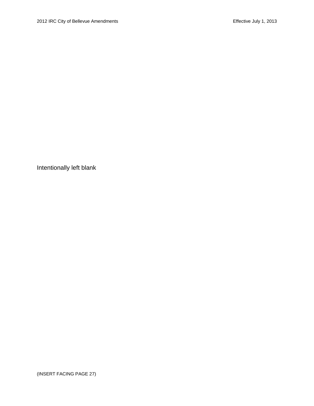Intentionally left blank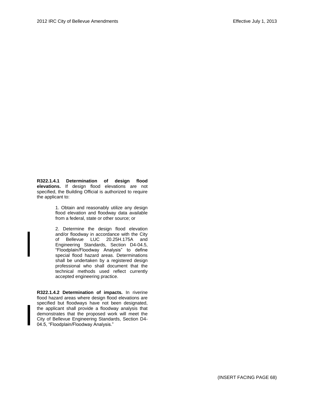**R322.1.4.1 Determination of design flood elevations.** If design flood elevations are not specified, the Building Official is authorized to require the applicant to:

> 1. Obtain and reasonably utilize any design flood elevation and floodway data available from a federal, state or other source; or

> 2. Determine the design flood elevation and/or floodway in accordance with the City of Bellevue LUC 20.25H.175A and Engineering Standards, Section D4-04.5, "Floodplain/Floodway Analysis" to define special flood hazard areas. Determinations shall be undertaken by a registered design professional who shall document that the technical methods used reflect currently accepted engineering practice.

**R322.1.4.2 Determination of impacts.** In riverine flood hazard areas where design flood elevations are specified but floodways have not been designated, the applicant shall provide a floodway analysis that demonstrates that the proposed work will meet the City of Bellevue Engineering Standards, Section D4- 04.5, "Floodplain/Floodway Analysis."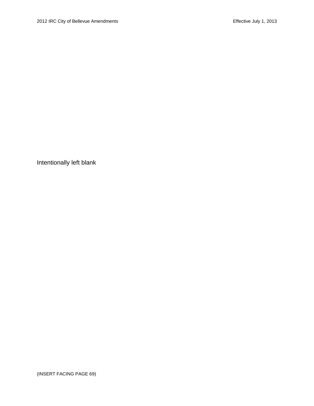Intentionally left blank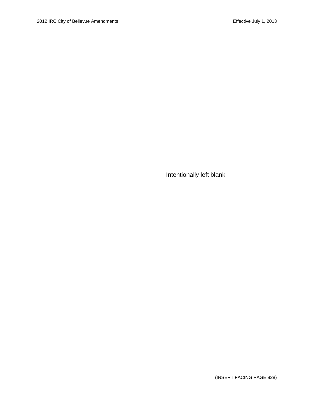Intentionally left blank